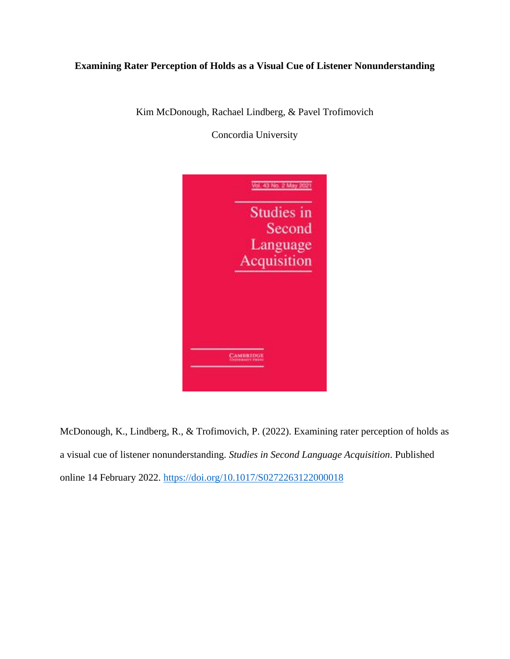# **Examining Rater Perception of Holds as a Visual Cue of Listener Nonunderstanding**

Kim McDonough, Rachael Lindberg, & Pavel Trofimovich

Concordia University



McDonough, K., Lindberg, R., & Trofimovich, P. (2022). Examining rater perception of holds as a visual cue of listener nonunderstanding. *Studies in Second Language Acquisition*. Published online 14 February 2022.<https://doi.org/10.1017/S0272263122000018>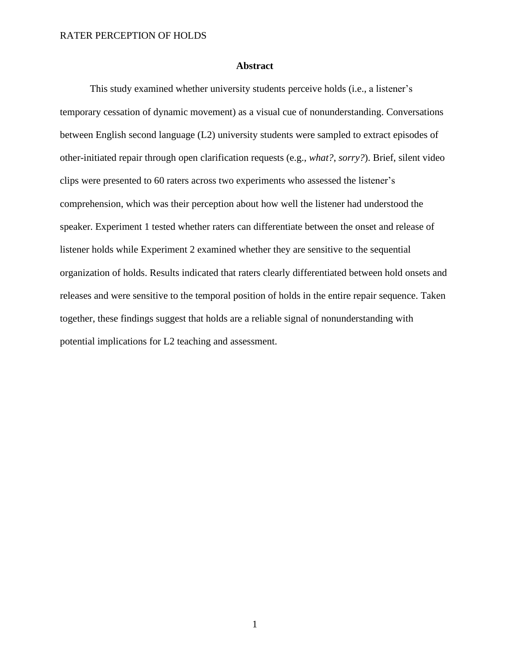# **Abstract**

This study examined whether university students perceive holds (i.e., a listener's temporary cessation of dynamic movement) as a visual cue of nonunderstanding. Conversations between English second language (L2) university students were sampled to extract episodes of other-initiated repair through open clarification requests (e.g., *what?*, *sorry?*). Brief, silent video clips were presented to 60 raters across two experiments who assessed the listener's comprehension, which was their perception about how well the listener had understood the speaker. Experiment 1 tested whether raters can differentiate between the onset and release of listener holds while Experiment 2 examined whether they are sensitive to the sequential organization of holds. Results indicated that raters clearly differentiated between hold onsets and releases and were sensitive to the temporal position of holds in the entire repair sequence. Taken together, these findings suggest that holds are a reliable signal of nonunderstanding with potential implications for L2 teaching and assessment.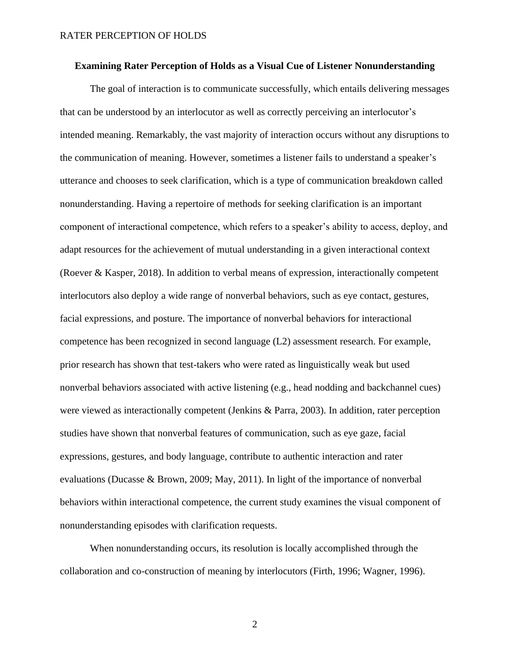### **Examining Rater Perception of Holds as a Visual Cue of Listener Nonunderstanding**

The goal of interaction is to communicate successfully, which entails delivering messages that can be understood by an interlocutor as well as correctly perceiving an interlocutor's intended meaning. Remarkably, the vast majority of interaction occurs without any disruptions to the communication of meaning. However, sometimes a listener fails to understand a speaker's utterance and chooses to seek clarification, which is a type of communication breakdown called nonunderstanding. Having a repertoire of methods for seeking clarification is an important component of interactional competence, which refers to a speaker's ability to access, deploy, and adapt resources for the achievement of mutual understanding in a given interactional context (Roever & Kasper, 2018). In addition to verbal means of expression, interactionally competent interlocutors also deploy a wide range of nonverbal behaviors, such as eye contact, gestures, facial expressions, and posture. The importance of nonverbal behaviors for interactional competence has been recognized in second language (L2) assessment research. For example, prior research has shown that test-takers who were rated as linguistically weak but used nonverbal behaviors associated with active listening (e.g., head nodding and backchannel cues) were viewed as interactionally competent (Jenkins & Parra, 2003). In addition, rater perception studies have shown that nonverbal features of communication, such as eye gaze, facial expressions, gestures, and body language, contribute to authentic interaction and rater evaluations (Ducasse & Brown, 2009; May, 2011). In light of the importance of nonverbal behaviors within interactional competence, the current study examines the visual component of nonunderstanding episodes with clarification requests.

When nonunderstanding occurs, its resolution is locally accomplished through the collaboration and co-construction of meaning by interlocutors (Firth, 1996; Wagner, 1996).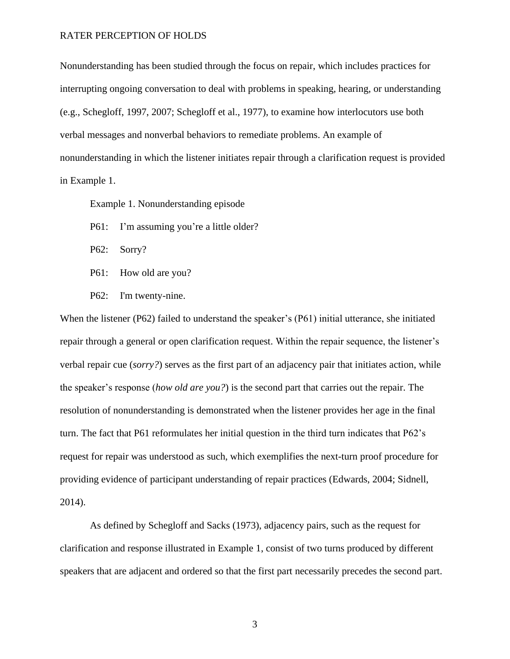Nonunderstanding has been studied through the focus on repair, which includes practices for interrupting ongoing conversation to deal with problems in speaking, hearing, or understanding (e.g., Schegloff, 1997, 2007; Schegloff et al., 1977), to examine how interlocutors use both verbal messages and nonverbal behaviors to remediate problems. An example of nonunderstanding in which the listener initiates repair through a clarification request is provided in Example 1.

Example 1. Nonunderstanding episode

- P61: I'm assuming you're a little older?
- P62: Sorry?
- P61: How old are you?
- P62: I'm twenty-nine.

When the listener (P62) failed to understand the speaker's (P61) initial utterance, she initiated repair through a general or open clarification request. Within the repair sequence, the listener's verbal repair cue (*sorry?*) serves as the first part of an adjacency pair that initiates action, while the speaker's response (*how old are you?*) is the second part that carries out the repair. The resolution of nonunderstanding is demonstrated when the listener provides her age in the final turn. The fact that P61 reformulates her initial question in the third turn indicates that P62's request for repair was understood as such, which exemplifies the next-turn proof procedure for providing evidence of participant understanding of repair practices (Edwards, 2004; Sidnell, 2014).

As defined by Schegloff and Sacks (1973), adjacency pairs, such as the request for clarification and response illustrated in Example 1, consist of two turns produced by different speakers that are adjacent and ordered so that the first part necessarily precedes the second part.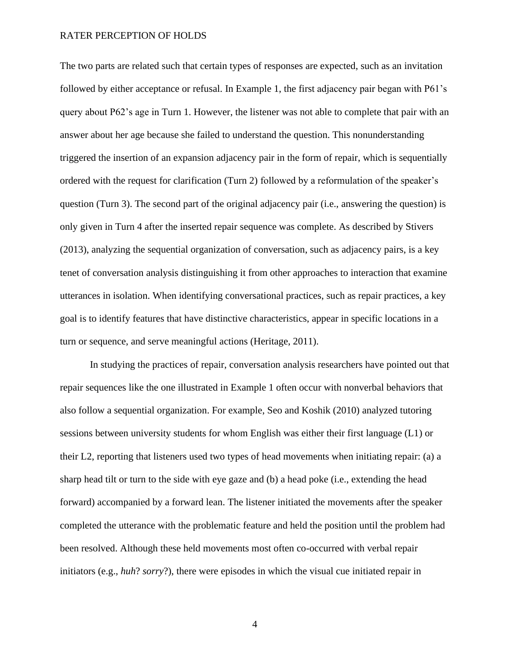The two parts are related such that certain types of responses are expected, such as an invitation followed by either acceptance or refusal. In Example 1, the first adjacency pair began with P61's query about P62's age in Turn 1. However, the listener was not able to complete that pair with an answer about her age because she failed to understand the question. This nonunderstanding triggered the insertion of an expansion adjacency pair in the form of repair, which is sequentially ordered with the request for clarification (Turn 2) followed by a reformulation of the speaker's question (Turn 3). The second part of the original adjacency pair (i.e., answering the question) is only given in Turn 4 after the inserted repair sequence was complete. As described by Stivers (2013), analyzing the sequential organization of conversation, such as adjacency pairs, is a key tenet of conversation analysis distinguishing it from other approaches to interaction that examine utterances in isolation. When identifying conversational practices, such as repair practices, a key goal is to identify features that have distinctive characteristics, appear in specific locations in a turn or sequence, and serve meaningful actions (Heritage, 2011).

In studying the practices of repair, conversation analysis researchers have pointed out that repair sequences like the one illustrated in Example 1 often occur with nonverbal behaviors that also follow a sequential organization. For example, Seo and Koshik (2010) analyzed tutoring sessions between university students for whom English was either their first language (L1) or their L2, reporting that listeners used two types of head movements when initiating repair: (a) a sharp head tilt or turn to the side with eye gaze and (b) a head poke (i.e., extending the head forward) accompanied by a forward lean. The listener initiated the movements after the speaker completed the utterance with the problematic feature and held the position until the problem had been resolved. Although these held movements most often co-occurred with verbal repair initiators (e.g., *huh*? *sorry*?), there were episodes in which the visual cue initiated repair in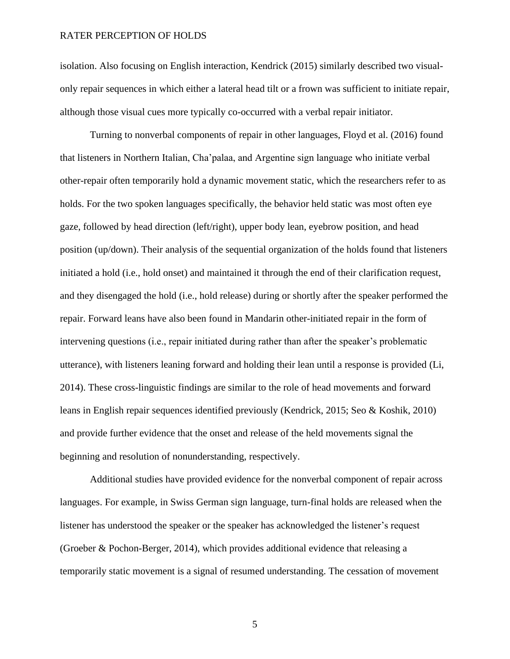isolation. Also focusing on English interaction, Kendrick (2015) similarly described two visualonly repair sequences in which either a lateral head tilt or a frown was sufficient to initiate repair, although those visual cues more typically co-occurred with a verbal repair initiator.

Turning to nonverbal components of repair in other languages, Floyd et al. (2016) found that listeners in Northern Italian, Cha'palaa, and Argentine sign language who initiate verbal other-repair often temporarily hold a dynamic movement static, which the researchers refer to as holds. For the two spoken languages specifically, the behavior held static was most often eye gaze, followed by head direction (left/right), upper body lean, eyebrow position, and head position (up/down). Their analysis of the sequential organization of the holds found that listeners initiated a hold (i.e., hold onset) and maintained it through the end of their clarification request, and they disengaged the hold (i.e., hold release) during or shortly after the speaker performed the repair. Forward leans have also been found in Mandarin other-initiated repair in the form of intervening questions (i.e., repair initiated during rather than after the speaker's problematic utterance), with listeners leaning forward and holding their lean until a response is provided (Li, 2014). These cross-linguistic findings are similar to the role of head movements and forward leans in English repair sequences identified previously (Kendrick, 2015; Seo & Koshik, 2010) and provide further evidence that the onset and release of the held movements signal the beginning and resolution of nonunderstanding, respectively.

Additional studies have provided evidence for the nonverbal component of repair across languages. For example, in Swiss German sign language, turn-final holds are released when the listener has understood the speaker or the speaker has acknowledged the listener's request (Groeber & Pochon-Berger, 2014), which provides additional evidence that releasing a temporarily static movement is a signal of resumed understanding. The cessation of movement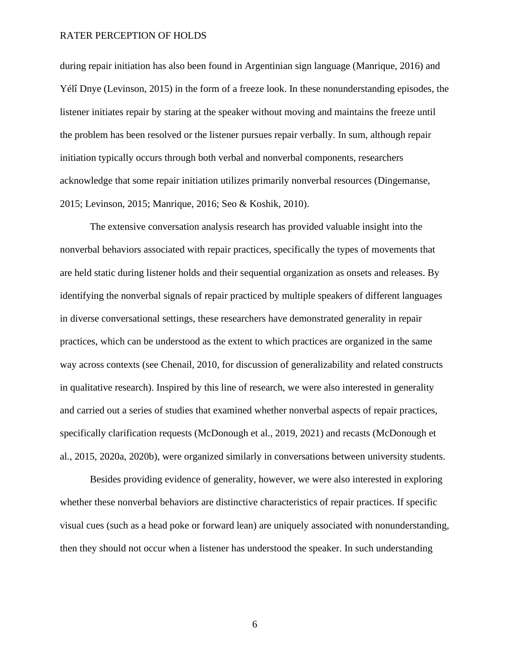during repair initiation has also been found in Argentinian sign language (Manrique, 2016) and Yélî Dnye (Levinson, 2015) in the form of a freeze look. In these nonunderstanding episodes, the listener initiates repair by staring at the speaker without moving and maintains the freeze until the problem has been resolved or the listener pursues repair verbally. In sum, although repair initiation typically occurs through both verbal and nonverbal components, researchers acknowledge that some repair initiation utilizes primarily nonverbal resources (Dingemanse, 2015; Levinson, 2015; Manrique, 2016; Seo & Koshik, 2010).

The extensive conversation analysis research has provided valuable insight into the nonverbal behaviors associated with repair practices, specifically the types of movements that are held static during listener holds and their sequential organization as onsets and releases. By identifying the nonverbal signals of repair practiced by multiple speakers of different languages in diverse conversational settings, these researchers have demonstrated generality in repair practices, which can be understood as the extent to which practices are organized in the same way across contexts (see Chenail, 2010, for discussion of generalizability and related constructs in qualitative research). Inspired by this line of research, we were also interested in generality and carried out a series of studies that examined whether nonverbal aspects of repair practices, specifically clarification requests (McDonough et al., 2019, 2021) and recasts (McDonough et al., 2015, 2020a, 2020b), were organized similarly in conversations between university students.

Besides providing evidence of generality, however, we were also interested in exploring whether these nonverbal behaviors are distinctive characteristics of repair practices. If specific visual cues (such as a head poke or forward lean) are uniquely associated with nonunderstanding, then they should not occur when a listener has understood the speaker. In such understanding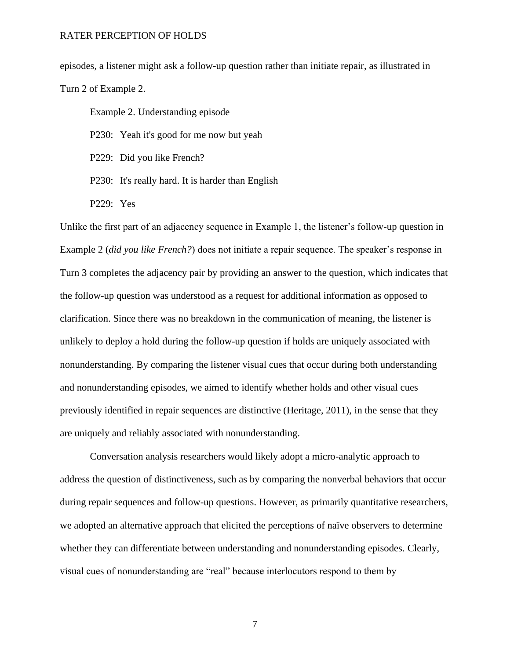episodes, a listener might ask a follow-up question rather than initiate repair, as illustrated in Turn 2 of Example 2.

Example 2. Understanding episode

P230: Yeah it's good for me now but yeah

P229: Did you like French?

- P230: It's really hard. It is harder than English
- P229: Yes

Unlike the first part of an adjacency sequence in Example 1, the listener's follow-up question in Example 2 (*did you like French?*) does not initiate a repair sequence. The speaker's response in Turn 3 completes the adjacency pair by providing an answer to the question, which indicates that the follow-up question was understood as a request for additional information as opposed to clarification. Since there was no breakdown in the communication of meaning, the listener is unlikely to deploy a hold during the follow-up question if holds are uniquely associated with nonunderstanding. By comparing the listener visual cues that occur during both understanding and nonunderstanding episodes, we aimed to identify whether holds and other visual cues previously identified in repair sequences are distinctive (Heritage, 2011), in the sense that they are uniquely and reliably associated with nonunderstanding.

Conversation analysis researchers would likely adopt a micro-analytic approach to address the question of distinctiveness, such as by comparing the nonverbal behaviors that occur during repair sequences and follow-up questions. However, as primarily quantitative researchers, we adopted an alternative approach that elicited the perceptions of naïve observers to determine whether they can differentiate between understanding and nonunderstanding episodes. Clearly, visual cues of nonunderstanding are "real" because interlocutors respond to them by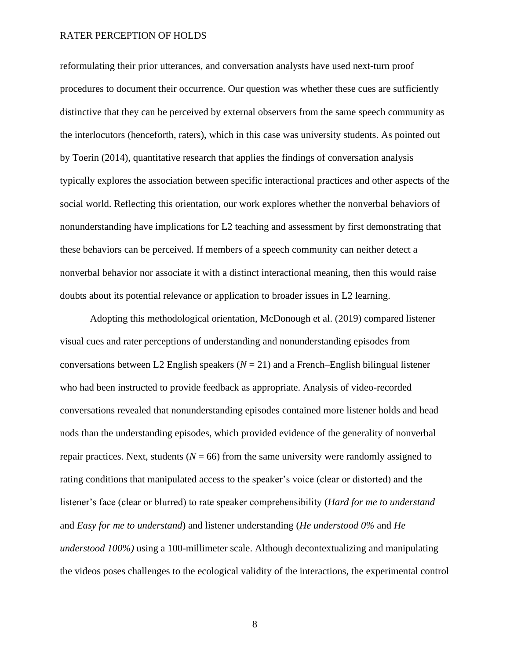reformulating their prior utterances, and conversation analysts have used next-turn proof procedures to document their occurrence. Our question was whether these cues are sufficiently distinctive that they can be perceived by external observers from the same speech community as the interlocutors (henceforth, raters), which in this case was university students. As pointed out by Toerin (2014), quantitative research that applies the findings of conversation analysis typically explores the association between specific interactional practices and other aspects of the social world. Reflecting this orientation, our work explores whether the nonverbal behaviors of nonunderstanding have implications for L2 teaching and assessment by first demonstrating that these behaviors can be perceived. If members of a speech community can neither detect a nonverbal behavior nor associate it with a distinct interactional meaning, then this would raise doubts about its potential relevance or application to broader issues in L2 learning.

Adopting this methodological orientation, McDonough et al. (2019) compared listener visual cues and rater perceptions of understanding and nonunderstanding episodes from conversations between L2 English speakers  $(N = 21)$  and a French–English bilingual listener who had been instructed to provide feedback as appropriate. Analysis of video-recorded conversations revealed that nonunderstanding episodes contained more listener holds and head nods than the understanding episodes, which provided evidence of the generality of nonverbal repair practices. Next, students  $(N = 66)$  from the same university were randomly assigned to rating conditions that manipulated access to the speaker's voice (clear or distorted) and the listener's face (clear or blurred) to rate speaker comprehensibility (*Hard for me to understand* and *Easy for me to understand*) and listener understanding (*He understood 0%* and *He understood 100%)* using a 100-millimeter scale. Although decontextualizing and manipulating the videos poses challenges to the ecological validity of the interactions, the experimental control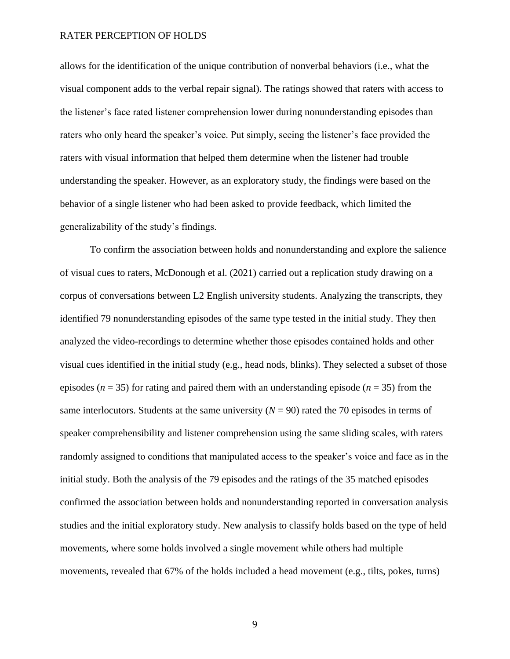allows for the identification of the unique contribution of nonverbal behaviors (i.e., what the visual component adds to the verbal repair signal). The ratings showed that raters with access to the listener's face rated listener comprehension lower during nonunderstanding episodes than raters who only heard the speaker's voice. Put simply, seeing the listener's face provided the raters with visual information that helped them determine when the listener had trouble understanding the speaker. However, as an exploratory study, the findings were based on the behavior of a single listener who had been asked to provide feedback, which limited the generalizability of the study's findings.

To confirm the association between holds and nonunderstanding and explore the salience of visual cues to raters, McDonough et al. (2021) carried out a replication study drawing on a corpus of conversations between L2 English university students. Analyzing the transcripts, they identified 79 nonunderstanding episodes of the same type tested in the initial study. They then analyzed the video-recordings to determine whether those episodes contained holds and other visual cues identified in the initial study (e.g., head nods, blinks). They selected a subset of those episodes ( $n = 35$ ) for rating and paired them with an understanding episode ( $n = 35$ ) from the same interlocutors. Students at the same university  $(N = 90)$  rated the 70 episodes in terms of speaker comprehensibility and listener comprehension using the same sliding scales, with raters randomly assigned to conditions that manipulated access to the speaker's voice and face as in the initial study. Both the analysis of the 79 episodes and the ratings of the 35 matched episodes confirmed the association between holds and nonunderstanding reported in conversation analysis studies and the initial exploratory study. New analysis to classify holds based on the type of held movements, where some holds involved a single movement while others had multiple movements, revealed that 67% of the holds included a head movement (e.g., tilts, pokes, turns)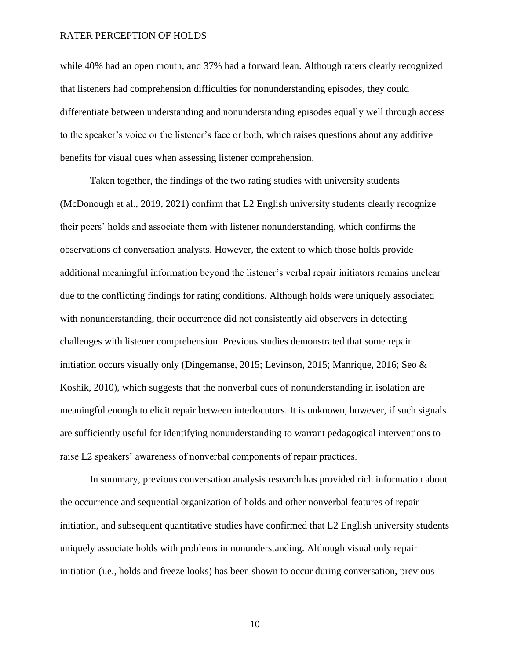while 40% had an open mouth, and 37% had a forward lean. Although raters clearly recognized that listeners had comprehension difficulties for nonunderstanding episodes, they could differentiate between understanding and nonunderstanding episodes equally well through access to the speaker's voice or the listener's face or both, which raises questions about any additive benefits for visual cues when assessing listener comprehension.

Taken together, the findings of the two rating studies with university students (McDonough et al., 2019, 2021) confirm that L2 English university students clearly recognize their peers' holds and associate them with listener nonunderstanding, which confirms the observations of conversation analysts. However, the extent to which those holds provide additional meaningful information beyond the listener's verbal repair initiators remains unclear due to the conflicting findings for rating conditions. Although holds were uniquely associated with nonunderstanding, their occurrence did not consistently aid observers in detecting challenges with listener comprehension. Previous studies demonstrated that some repair initiation occurs visually only (Dingemanse, 2015; Levinson, 2015; Manrique, 2016; Seo & Koshik, 2010), which suggests that the nonverbal cues of nonunderstanding in isolation are meaningful enough to elicit repair between interlocutors. It is unknown, however, if such signals are sufficiently useful for identifying nonunderstanding to warrant pedagogical interventions to raise L2 speakers' awareness of nonverbal components of repair practices.

In summary, previous conversation analysis research has provided rich information about the occurrence and sequential organization of holds and other nonverbal features of repair initiation, and subsequent quantitative studies have confirmed that L2 English university students uniquely associate holds with problems in nonunderstanding. Although visual only repair initiation (i.e., holds and freeze looks) has been shown to occur during conversation, previous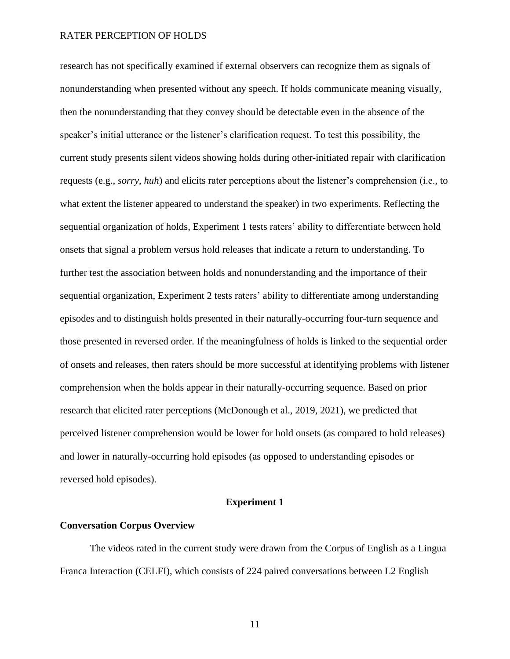research has not specifically examined if external observers can recognize them as signals of nonunderstanding when presented without any speech. If holds communicate meaning visually, then the nonunderstanding that they convey should be detectable even in the absence of the speaker's initial utterance or the listener's clarification request. To test this possibility, the current study presents silent videos showing holds during other-initiated repair with clarification requests (e.g., *sorry*, *huh*) and elicits rater perceptions about the listener's comprehension (i.e., to what extent the listener appeared to understand the speaker) in two experiments. Reflecting the sequential organization of holds, Experiment 1 tests raters' ability to differentiate between hold onsets that signal a problem versus hold releases that indicate a return to understanding. To further test the association between holds and nonunderstanding and the importance of their sequential organization, Experiment 2 tests raters' ability to differentiate among understanding episodes and to distinguish holds presented in their naturally-occurring four-turn sequence and those presented in reversed order. If the meaningfulness of holds is linked to the sequential order of onsets and releases, then raters should be more successful at identifying problems with listener comprehension when the holds appear in their naturally-occurring sequence. Based on prior research that elicited rater perceptions (McDonough et al., 2019, 2021), we predicted that perceived listener comprehension would be lower for hold onsets (as compared to hold releases) and lower in naturally-occurring hold episodes (as opposed to understanding episodes or reversed hold episodes).

### **Experiment 1**

# **Conversation Corpus Overview**

The videos rated in the current study were drawn from the Corpus of English as a Lingua Franca Interaction (CELFI), which consists of 224 paired conversations between L2 English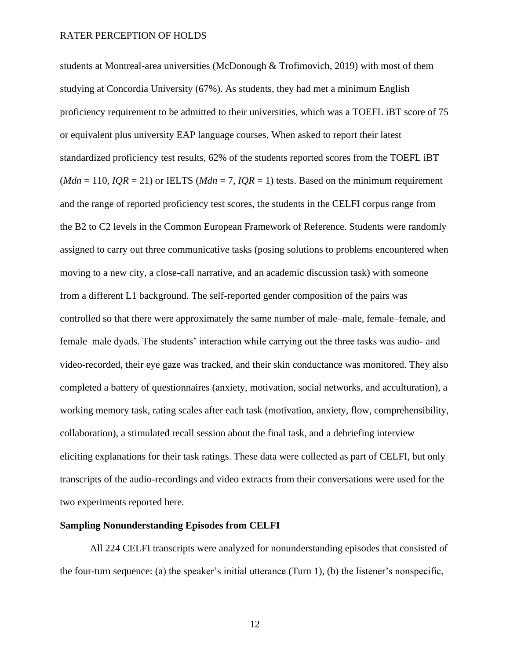students at Montreal-area universities (McDonough & Trofimovich, 2019) with most of them studying at Concordia University (67%). As students, they had met a minimum English proficiency requirement to be admitted to their universities, which was a TOEFL iBT score of 75 or equivalent plus university EAP language courses. When asked to report their latest standardized proficiency test results, 62% of the students reported scores from the TOEFL iBT  $(Mdn = 110, IQR = 21)$  or IELTS  $(Mdn = 7, IQR = 1)$  tests. Based on the minimum requirement and the range of reported proficiency test scores, the students in the CELFI corpus range from the B2 to C2 levels in the Common European Framework of Reference. Students were randomly assigned to carry out three communicative tasks (posing solutions to problems encountered when moving to a new city, a close-call narrative, and an academic discussion task) with someone from a different L1 background. The self-reported gender composition of the pairs was controlled so that there were approximately the same number of male–male, female–female, and female–male dyads. The students' interaction while carrying out the three tasks was audio- and video-recorded, their eye gaze was tracked, and their skin conductance was monitored. They also completed a battery of questionnaires (anxiety, motivation, social networks, and acculturation), a working memory task, rating scales after each task (motivation, anxiety, flow, comprehensibility, collaboration), a stimulated recall session about the final task, and a debriefing interview eliciting explanations for their task ratings. These data were collected as part of CELFI, but only transcripts of the audio-recordings and video extracts from their conversations were used for the two experiments reported here.

#### **Sampling Nonunderstanding Episodes from CELFI**

All 224 CELFI transcripts were analyzed for nonunderstanding episodes that consisted of the four-turn sequence: (a) the speaker's initial utterance (Turn 1), (b) the listener's nonspecific,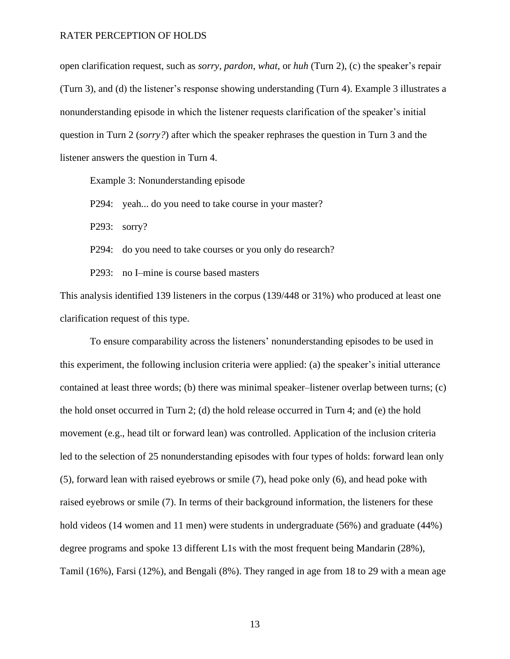open clarification request, such as *sorry*, *pardon*, *what*, or *huh* (Turn 2), (c) the speaker's repair (Turn 3), and (d) the listener's response showing understanding (Turn 4). Example 3 illustrates a nonunderstanding episode in which the listener requests clarification of the speaker's initial question in Turn 2 (*sorry?*) after which the speaker rephrases the question in Turn 3 and the listener answers the question in Turn 4.

Example 3: Nonunderstanding episode

P294: yeah... do you need to take course in your master?

P293: sorry?

P294: do you need to take courses or you only do research?

P293: no I–mine is course based masters

This analysis identified 139 listeners in the corpus (139/448 or 31%) who produced at least one clarification request of this type.

To ensure comparability across the listeners' nonunderstanding episodes to be used in this experiment, the following inclusion criteria were applied: (a) the speaker's initial utterance contained at least three words; (b) there was minimal speaker–listener overlap between turns; (c) the hold onset occurred in Turn 2; (d) the hold release occurred in Turn 4; and (e) the hold movement (e.g., head tilt or forward lean) was controlled. Application of the inclusion criteria led to the selection of 25 nonunderstanding episodes with four types of holds: forward lean only (5), forward lean with raised eyebrows or smile (7), head poke only (6), and head poke with raised eyebrows or smile (7). In terms of their background information, the listeners for these hold videos (14 women and 11 men) were students in undergraduate (56%) and graduate (44%) degree programs and spoke 13 different L1s with the most frequent being Mandarin (28%), Tamil (16%), Farsi (12%), and Bengali (8%). They ranged in age from 18 to 29 with a mean age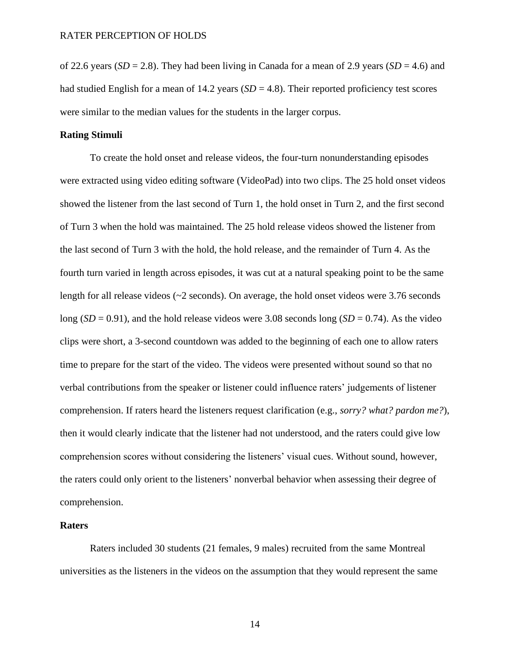of 22.6 years ( $SD = 2.8$ ). They had been living in Canada for a mean of 2.9 years ( $SD = 4.6$ ) and had studied English for a mean of 14.2 years  $(SD = 4.8)$ . Their reported proficiency test scores were similar to the median values for the students in the larger corpus.

# **Rating Stimuli**

To create the hold onset and release videos, the four-turn nonunderstanding episodes were extracted using video editing software (VideoPad) into two clips. The 25 hold onset videos showed the listener from the last second of Turn 1, the hold onset in Turn 2, and the first second of Turn 3 when the hold was maintained. The 25 hold release videos showed the listener from the last second of Turn 3 with the hold, the hold release, and the remainder of Turn 4. As the fourth turn varied in length across episodes, it was cut at a natural speaking point to be the same length for all release videos (~2 seconds). On average, the hold onset videos were 3.76 seconds long  $(SD = 0.91)$ , and the hold release videos were 3.08 seconds long  $(SD = 0.74)$ . As the video clips were short, a 3-second countdown was added to the beginning of each one to allow raters time to prepare for the start of the video. The videos were presented without sound so that no verbal contributions from the speaker or listener could influence raters' judgements of listener comprehension. If raters heard the listeners request clarification (e.g., *sorry? what? pardon me?*), then it would clearly indicate that the listener had not understood, and the raters could give low comprehension scores without considering the listeners' visual cues. Without sound, however, the raters could only orient to the listeners' nonverbal behavior when assessing their degree of comprehension.

# **Raters**

Raters included 30 students (21 females, 9 males) recruited from the same Montreal universities as the listeners in the videos on the assumption that they would represent the same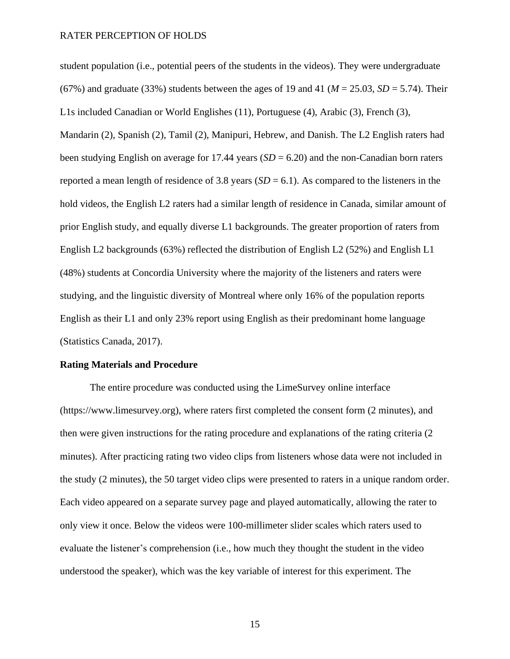student population (i.e., potential peers of the students in the videos). They were undergraduate (67%) and graduate (33%) students between the ages of 19 and 41 ( $M = 25.03$ ,  $SD = 5.74$ ). Their L1s included Canadian or World Englishes (11), Portuguese (4), Arabic (3), French (3), Mandarin (2), Spanish (2), Tamil (2), Manipuri, Hebrew, and Danish. The L2 English raters had been studying English on average for 17.44 years (*SD* = 6.20) and the non-Canadian born raters reported a mean length of residence of 3.8 years  $(SD = 6.1)$ . As compared to the listeners in the hold videos, the English L2 raters had a similar length of residence in Canada, similar amount of prior English study, and equally diverse L1 backgrounds. The greater proportion of raters from English L2 backgrounds (63%) reflected the distribution of English L2 (52%) and English L1 (48%) students at Concordia University where the majority of the listeners and raters were studying, and the linguistic diversity of Montreal where only 16% of the population reports English as their L1 and only 23% report using English as their predominant home language (Statistics Canada, 2017).

#### **Rating Materials and Procedure**

The entire procedure was conducted using the LimeSurvey online interface (https://www.limesurvey.org), where raters first completed the consent form (2 minutes), and then were given instructions for the rating procedure and explanations of the rating criteria (2 minutes). After practicing rating two video clips from listeners whose data were not included in the study (2 minutes), the 50 target video clips were presented to raters in a unique random order. Each video appeared on a separate survey page and played automatically, allowing the rater to only view it once. Below the videos were 100-millimeter slider scales which raters used to evaluate the listener's comprehension (i.e., how much they thought the student in the video understood the speaker), which was the key variable of interest for this experiment. The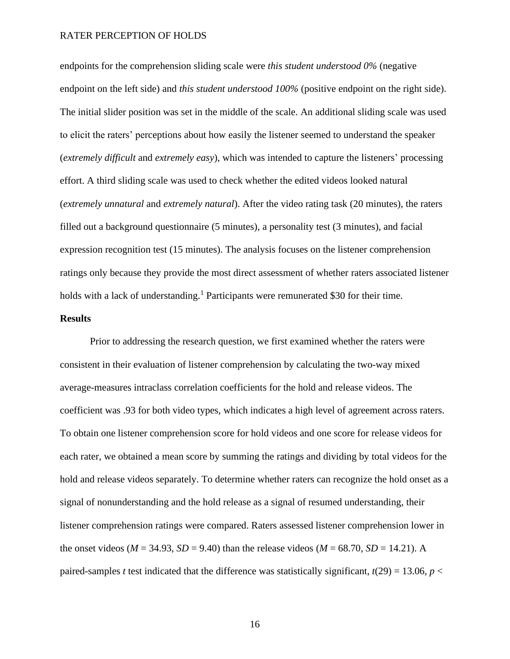endpoints for the comprehension sliding scale were *this student understood 0%* (negative endpoint on the left side) and *this student understood 100%* (positive endpoint on the right side). The initial slider position was set in the middle of the scale. An additional sliding scale was used to elicit the raters' perceptions about how easily the listener seemed to understand the speaker (*extremely difficult* and *extremely easy*), which was intended to capture the listeners' processing effort. A third sliding scale was used to check whether the edited videos looked natural (*extremely unnatural* and *extremely natural*). After the video rating task (20 minutes), the raters filled out a background questionnaire (5 minutes), a personality test (3 minutes), and facial expression recognition test (15 minutes). The analysis focuses on the listener comprehension ratings only because they provide the most direct assessment of whether raters associated listener holds with a lack of understanding.<sup>1</sup> Participants were remunerated \$30 for their time.

# **Results**

Prior to addressing the research question, we first examined whether the raters were consistent in their evaluation of listener comprehension by calculating the two-way mixed average-measures intraclass correlation coefficients for the hold and release videos. The coefficient was .93 for both video types, which indicates a high level of agreement across raters. To obtain one listener comprehension score for hold videos and one score for release videos for each rater, we obtained a mean score by summing the ratings and dividing by total videos for the hold and release videos separately. To determine whether raters can recognize the hold onset as a signal of nonunderstanding and the hold release as a signal of resumed understanding, their listener comprehension ratings were compared. Raters assessed listener comprehension lower in the onset videos ( $M = 34.93$ ,  $SD = 9.40$ ) than the release videos ( $M = 68.70$ ,  $SD = 14.21$ ). A paired-samples *t* test indicated that the difference was statistically significant,  $t(29) = 13.06$ ,  $p <$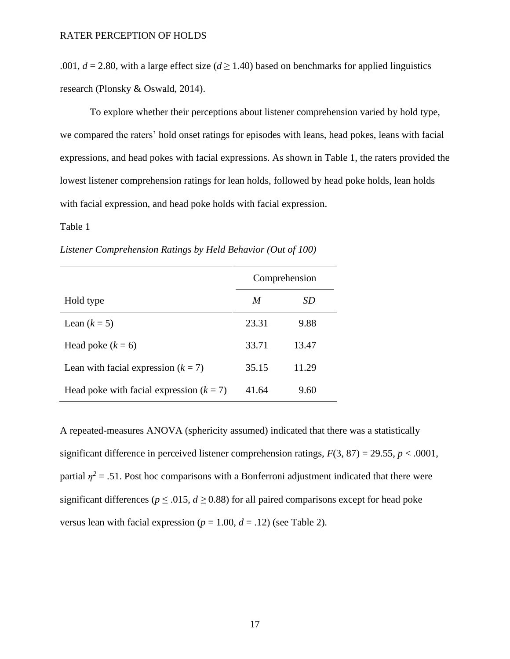.001,  $d = 2.80$ , with a large effect size ( $d \ge 1.40$ ) based on benchmarks for applied linguistics research (Plonsky & Oswald, 2014).

To explore whether their perceptions about listener comprehension varied by hold type, we compared the raters' hold onset ratings for episodes with leans, head pokes, leans with facial expressions, and head pokes with facial expressions. As shown in Table 1, the raters provided the lowest listener comprehension ratings for lean holds, followed by head poke holds, lean holds with facial expression, and head poke holds with facial expression.

# Table 1

|                                            | Comprehension |       |  |
|--------------------------------------------|---------------|-------|--|
| Hold type                                  | M             | SD    |  |
| Lean $(k=5)$                               | 23.31         | 9.88  |  |
| Head poke $(k = 6)$                        | 33.71         | 13.47 |  |
| Lean with facial expression $(k = 7)$      | 35.15         | 11.29 |  |
| Head poke with facial expression $(k = 7)$ | 41.64         | 9.60  |  |

*Listener Comprehension Ratings by Held Behavior (Out of 100)*

A repeated-measures ANOVA (sphericity assumed) indicated that there was a statistically significant difference in perceived listener comprehension ratings,  $F(3, 87) = 29.55$ ,  $p < .0001$ , partial  $\eta^2$  = .51. Post hoc comparisons with a Bonferroni adjustment indicated that there were significant differences ( $p \le 0.015$ ,  $d \ge 0.88$ ) for all paired comparisons except for head poke versus lean with facial expression ( $p = 1.00$ ,  $d = .12$ ) (see Table 2).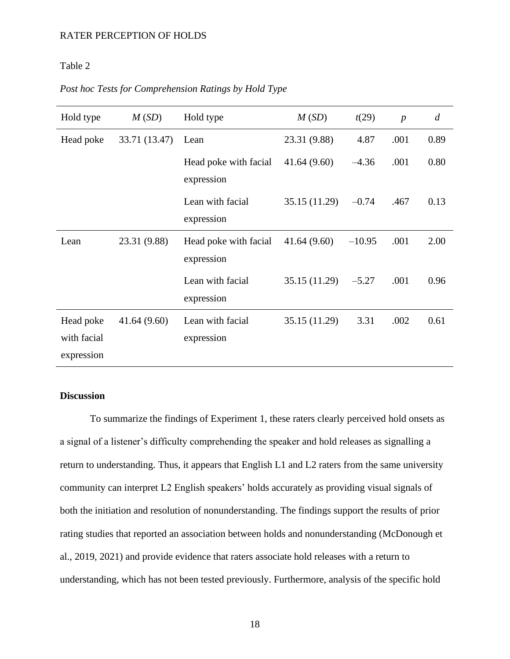# Table 2

# *Post hoc Tests for Comprehension Ratings by Hold Type*

| Hold type   | M(SD)         | Hold type                           | M(SD)         | t(29)    | $\boldsymbol{p}$ | $\overline{d}$ |
|-------------|---------------|-------------------------------------|---------------|----------|------------------|----------------|
| Head poke   | 33.71 (13.47) | Lean                                | 23.31 (9.88)  | 4.87     | .001             | 0.89           |
|             |               | Head poke with facial<br>expression | 41.64(9.60)   | $-4.36$  | .001             | 0.80           |
|             |               | Lean with facial<br>expression      | 35.15 (11.29) | $-0.74$  | .467             | 0.13           |
| Lean        | 23.31 (9.88)  | Head poke with facial<br>expression | 41.64(9.60)   | $-10.95$ | .001             | 2.00           |
|             |               | Lean with facial<br>expression      | 35.15 (11.29) | $-5.27$  | .001             | 0.96           |
| Head poke   | 41.64(9.60)   | Lean with facial                    | 35.15 (11.29) | 3.31     | .002             | 0.61           |
| with facial |               | expression                          |               |          |                  |                |
| expression  |               |                                     |               |          |                  |                |

# **Discussion**

To summarize the findings of Experiment 1, these raters clearly perceived hold onsets as a signal of a listener's difficulty comprehending the speaker and hold releases as signalling a return to understanding. Thus, it appears that English L1 and L2 raters from the same university community can interpret L2 English speakers' holds accurately as providing visual signals of both the initiation and resolution of nonunderstanding. The findings support the results of prior rating studies that reported an association between holds and nonunderstanding (McDonough et al., 2019, 2021) and provide evidence that raters associate hold releases with a return to understanding, which has not been tested previously. Furthermore, analysis of the specific hold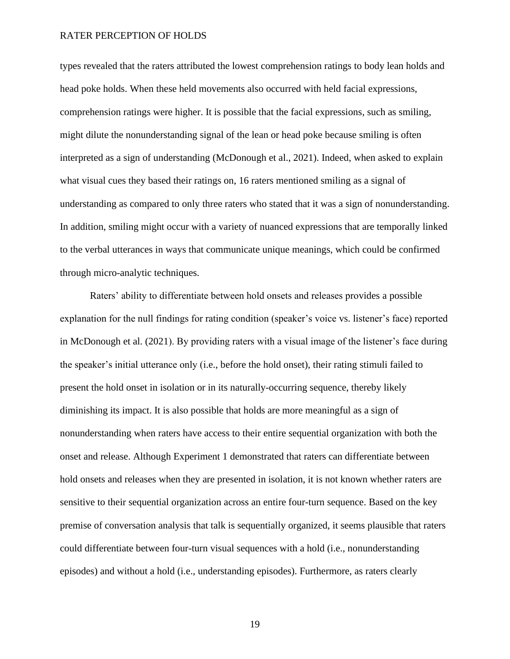types revealed that the raters attributed the lowest comprehension ratings to body lean holds and head poke holds. When these held movements also occurred with held facial expressions, comprehension ratings were higher. It is possible that the facial expressions, such as smiling, might dilute the nonunderstanding signal of the lean or head poke because smiling is often interpreted as a sign of understanding (McDonough et al., 2021). Indeed, when asked to explain what visual cues they based their ratings on, 16 raters mentioned smiling as a signal of understanding as compared to only three raters who stated that it was a sign of nonunderstanding. In addition, smiling might occur with a variety of nuanced expressions that are temporally linked to the verbal utterances in ways that communicate unique meanings, which could be confirmed through micro-analytic techniques.

Raters' ability to differentiate between hold onsets and releases provides a possible explanation for the null findings for rating condition (speaker's voice vs. listener's face) reported in McDonough et al. (2021). By providing raters with a visual image of the listener's face during the speaker's initial utterance only (i.e., before the hold onset), their rating stimuli failed to present the hold onset in isolation or in its naturally-occurring sequence, thereby likely diminishing its impact. It is also possible that holds are more meaningful as a sign of nonunderstanding when raters have access to their entire sequential organization with both the onset and release. Although Experiment 1 demonstrated that raters can differentiate between hold onsets and releases when they are presented in isolation, it is not known whether raters are sensitive to their sequential organization across an entire four-turn sequence. Based on the key premise of conversation analysis that talk is sequentially organized, it seems plausible that raters could differentiate between four-turn visual sequences with a hold (i.e., nonunderstanding episodes) and without a hold (i.e., understanding episodes). Furthermore, as raters clearly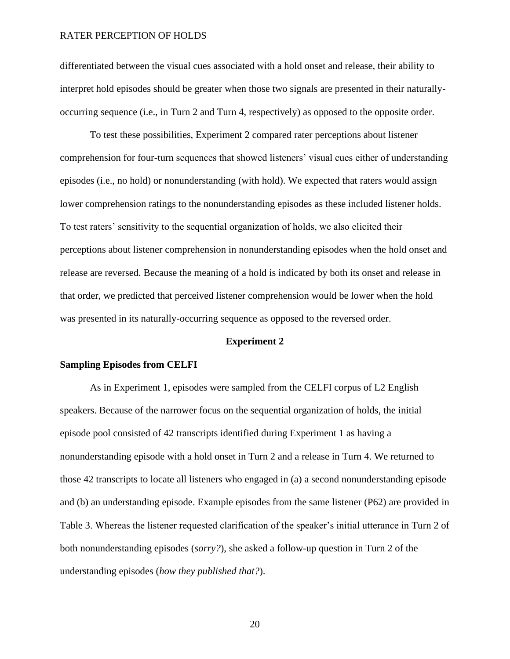differentiated between the visual cues associated with a hold onset and release, their ability to interpret hold episodes should be greater when those two signals are presented in their naturallyoccurring sequence (i.e., in Turn 2 and Turn 4, respectively) as opposed to the opposite order.

To test these possibilities, Experiment 2 compared rater perceptions about listener comprehension for four-turn sequences that showed listeners' visual cues either of understanding episodes (i.e., no hold) or nonunderstanding (with hold). We expected that raters would assign lower comprehension ratings to the nonunderstanding episodes as these included listener holds. To test raters' sensitivity to the sequential organization of holds, we also elicited their perceptions about listener comprehension in nonunderstanding episodes when the hold onset and release are reversed. Because the meaning of a hold is indicated by both its onset and release in that order, we predicted that perceived listener comprehension would be lower when the hold was presented in its naturally-occurring sequence as opposed to the reversed order.

# **Experiment 2**

#### **Sampling Episodes from CELFI**

As in Experiment 1, episodes were sampled from the CELFI corpus of L2 English speakers. Because of the narrower focus on the sequential organization of holds, the initial episode pool consisted of 42 transcripts identified during Experiment 1 as having a nonunderstanding episode with a hold onset in Turn 2 and a release in Turn 4. We returned to those 42 transcripts to locate all listeners who engaged in (a) a second nonunderstanding episode and (b) an understanding episode. Example episodes from the same listener (P62) are provided in Table 3. Whereas the listener requested clarification of the speaker's initial utterance in Turn 2 of both nonunderstanding episodes (*sorry?*), she asked a follow-up question in Turn 2 of the understanding episodes (*how they published that?*).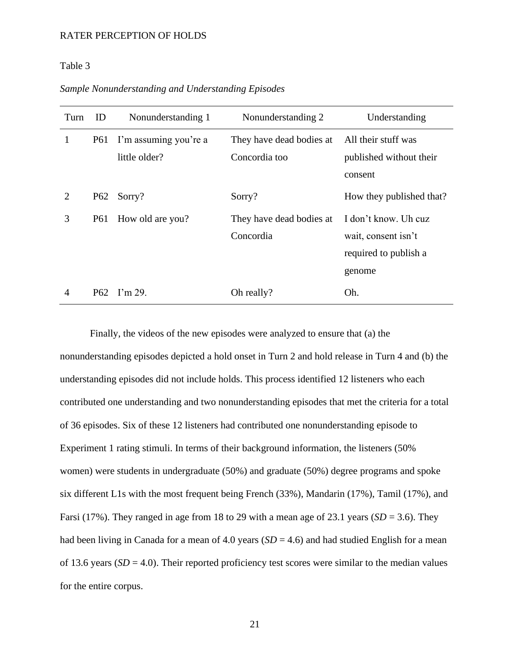# Table 3

# *Sample Nonunderstanding and Understanding Episodes*

| Turn                        | ID  | Nonunderstanding 1    | Nonunderstanding 2       | Understanding            |
|-----------------------------|-----|-----------------------|--------------------------|--------------------------|
| 1                           | P61 | I'm assuming you're a | They have dead bodies at | All their stuff was      |
|                             |     | little older?         | Concordia too            | published without their  |
|                             |     |                       |                          | consent                  |
| $\mathcal{D}_{\mathcal{L}}$ | P62 | Sorry?                | Sorry?                   | How they published that? |
| 3                           | P61 | How old are you?      | They have dead bodies at | I don't know. Uh cuz     |
|                             |     |                       | Concordia                | wait, consent isn't      |
|                             |     |                       |                          | required to publish a    |
|                             |     |                       |                          | genome                   |
| 4                           |     | P62 I'm 29.           | Oh really?               | Oh.                      |

Finally, the videos of the new episodes were analyzed to ensure that (a) the nonunderstanding episodes depicted a hold onset in Turn 2 and hold release in Turn 4 and (b) the understanding episodes did not include holds. This process identified 12 listeners who each contributed one understanding and two nonunderstanding episodes that met the criteria for a total of 36 episodes. Six of these 12 listeners had contributed one nonunderstanding episode to Experiment 1 rating stimuli. In terms of their background information, the listeners (50% women) were students in undergraduate (50%) and graduate (50%) degree programs and spoke six different L1s with the most frequent being French (33%), Mandarin (17%), Tamil (17%), and Farsi (17%). They ranged in age from 18 to 29 with a mean age of 23.1 years ( $SD = 3.6$ ). They had been living in Canada for a mean of 4.0 years  $(SD = 4.6)$  and had studied English for a mean of 13.6 years  $(SD = 4.0)$ . Their reported proficiency test scores were similar to the median values for the entire corpus.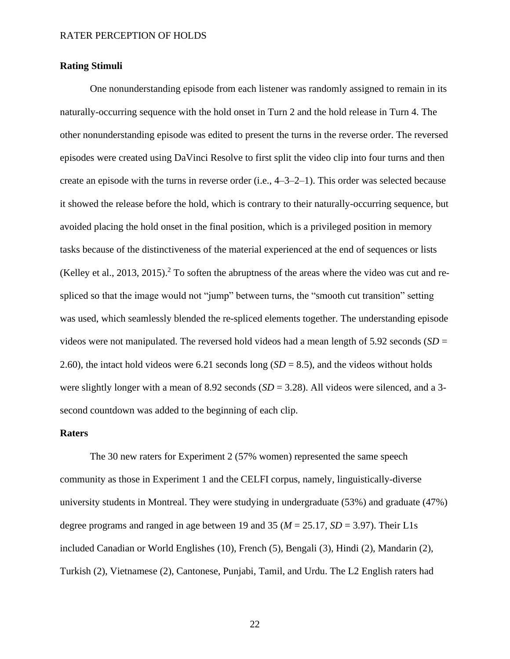# **Rating Stimuli**

One nonunderstanding episode from each listener was randomly assigned to remain in its naturally-occurring sequence with the hold onset in Turn 2 and the hold release in Turn 4. The other nonunderstanding episode was edited to present the turns in the reverse order. The reversed episodes were created using DaVinci Resolve to first split the video clip into four turns and then create an episode with the turns in reverse order  $(i.e., 4-3-2-1)$ . This order was selected because it showed the release before the hold, which is contrary to their naturally-occurring sequence, but avoided placing the hold onset in the final position, which is a privileged position in memory tasks because of the distinctiveness of the material experienced at the end of sequences or lists (Kelley et al., 2013, 2015).<sup>2</sup> To soften the abruptness of the areas where the video was cut and respliced so that the image would not "jump" between turns, the "smooth cut transition" setting was used, which seamlessly blended the re-spliced elements together. The understanding episode videos were not manipulated. The reversed hold videos had a mean length of 5.92 seconds (*SD* = 2.60), the intact hold videos were 6.21 seconds long  $(SD = 8.5)$ , and the videos without holds were slightly longer with a mean of 8.92 seconds (*SD* = 3.28). All videos were silenced, and a 3second countdown was added to the beginning of each clip.

# **Raters**

The 30 new raters for Experiment 2 (57% women) represented the same speech community as those in Experiment 1 and the CELFI corpus, namely, linguistically-diverse university students in Montreal. They were studying in undergraduate (53%) and graduate (47%) degree programs and ranged in age between 19 and 35 ( $M = 25.17$ ,  $SD = 3.97$ ). Their L1s included Canadian or World Englishes (10), French (5), Bengali (3), Hindi (2), Mandarin (2), Turkish (2), Vietnamese (2), Cantonese, Punjabi, Tamil, and Urdu. The L2 English raters had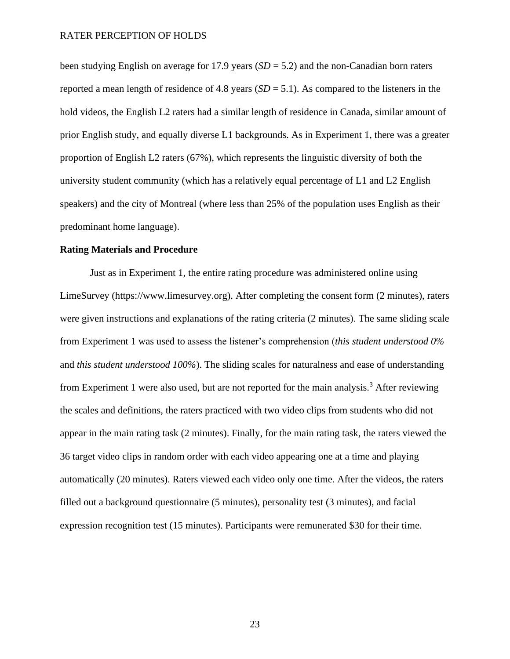been studying English on average for 17.9 years (*SD* = 5.2) and the non-Canadian born raters reported a mean length of residence of 4.8 years  $(SD = 5.1)$ . As compared to the listeners in the hold videos, the English L2 raters had a similar length of residence in Canada, similar amount of prior English study, and equally diverse L1 backgrounds. As in Experiment 1, there was a greater proportion of English L2 raters (67%), which represents the linguistic diversity of both the university student community (which has a relatively equal percentage of L1 and L2 English speakers) and the city of Montreal (where less than 25% of the population uses English as their predominant home language).

# **Rating Materials and Procedure**

Just as in Experiment 1, the entire rating procedure was administered online using LimeSurvey (https://www.limesurvey.org). After completing the consent form (2 minutes), raters were given instructions and explanations of the rating criteria (2 minutes). The same sliding scale from Experiment 1 was used to assess the listener's comprehension (*this student understood 0%* and *this student understood 100%*). The sliding scales for naturalness and ease of understanding from Experiment 1 were also used, but are not reported for the main analysis.<sup>3</sup> After reviewing the scales and definitions, the raters practiced with two video clips from students who did not appear in the main rating task (2 minutes). Finally, for the main rating task, the raters viewed the 36 target video clips in random order with each video appearing one at a time and playing automatically (20 minutes). Raters viewed each video only one time. After the videos, the raters filled out a background questionnaire (5 minutes), personality test (3 minutes), and facial expression recognition test (15 minutes). Participants were remunerated \$30 for their time.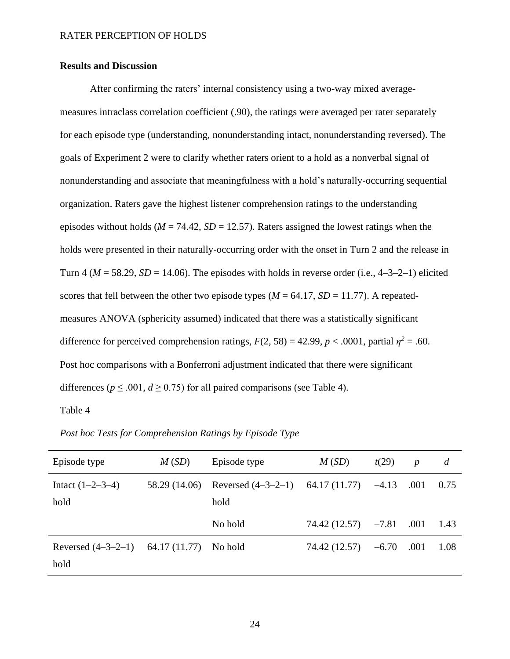# **Results and Discussion**

After confirming the raters' internal consistency using a two-way mixed averagemeasures intraclass correlation coefficient (.90), the ratings were averaged per rater separately for each episode type (understanding, nonunderstanding intact, nonunderstanding reversed). The goals of Experiment 2 were to clarify whether raters orient to a hold as a nonverbal signal of nonunderstanding and associate that meaningfulness with a hold's naturally-occurring sequential organization. Raters gave the highest listener comprehension ratings to the understanding episodes without holds ( $M = 74.42$ ,  $SD = 12.57$ ). Raters assigned the lowest ratings when the holds were presented in their naturally-occurring order with the onset in Turn 2 and the release in Turn 4 ( $M = 58.29$ ,  $SD = 14.06$ ). The episodes with holds in reverse order (i.e.,  $4-3-2-1$ ) elicited scores that fell between the other two episode types ( $M = 64.17$ ,  $SD = 11.77$ ). A repeatedmeasures ANOVA (sphericity assumed) indicated that there was a statistically significant difference for perceived comprehension ratings,  $F(2, 58) = 42.99$ ,  $p < .0001$ , partial  $\eta^2 = .60$ . Post hoc comparisons with a Bonferroni adjustment indicated that there were significant differences ( $p \le 0.001$ ,  $d \ge 0.75$ ) for all paired comparisons (see Table 4).

Table 4

| Episode type         | M(SD)         | Episode type                       | M(SD)                  | t(29)   | $\boldsymbol{p}$ | d    |
|----------------------|---------------|------------------------------------|------------------------|---------|------------------|------|
| Intact $(1-2-3-4)$   | 58.29 (14.06) | Reversed $(4-3-2-1)$ 64.17 (11.77) |                        | $-4.13$ | .001             | 0.75 |
| hold                 |               | hold                               |                        |         |                  |      |
|                      |               | No hold                            | $74.42(12.57)$ $-7.81$ |         | .001             | 1.43 |
| Reversed $(4-3-2-1)$ | 64.17 (11.77) | No hold                            | 74.42 (12.57)          | $-6.70$ | .001             | 1.08 |
| hold                 |               |                                    |                        |         |                  |      |

*Post hoc Tests for Comprehension Ratings by Episode Type*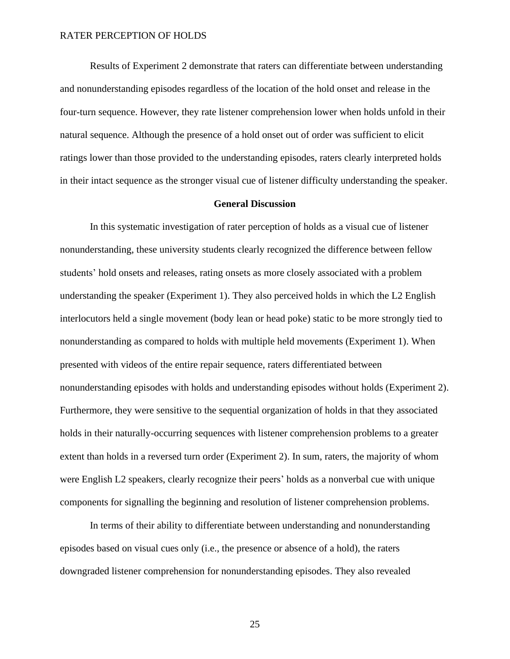Results of Experiment 2 demonstrate that raters can differentiate between understanding and nonunderstanding episodes regardless of the location of the hold onset and release in the four-turn sequence. However, they rate listener comprehension lower when holds unfold in their natural sequence. Although the presence of a hold onset out of order was sufficient to elicit ratings lower than those provided to the understanding episodes, raters clearly interpreted holds in their intact sequence as the stronger visual cue of listener difficulty understanding the speaker.

# **General Discussion**

In this systematic investigation of rater perception of holds as a visual cue of listener nonunderstanding, these university students clearly recognized the difference between fellow students' hold onsets and releases, rating onsets as more closely associated with a problem understanding the speaker (Experiment 1). They also perceived holds in which the L2 English interlocutors held a single movement (body lean or head poke) static to be more strongly tied to nonunderstanding as compared to holds with multiple held movements (Experiment 1). When presented with videos of the entire repair sequence, raters differentiated between nonunderstanding episodes with holds and understanding episodes without holds (Experiment 2). Furthermore, they were sensitive to the sequential organization of holds in that they associated holds in their naturally-occurring sequences with listener comprehension problems to a greater extent than holds in a reversed turn order (Experiment 2). In sum, raters, the majority of whom were English L2 speakers, clearly recognize their peers' holds as a nonverbal cue with unique components for signalling the beginning and resolution of listener comprehension problems.

In terms of their ability to differentiate between understanding and nonunderstanding episodes based on visual cues only (i.e., the presence or absence of a hold), the raters downgraded listener comprehension for nonunderstanding episodes. They also revealed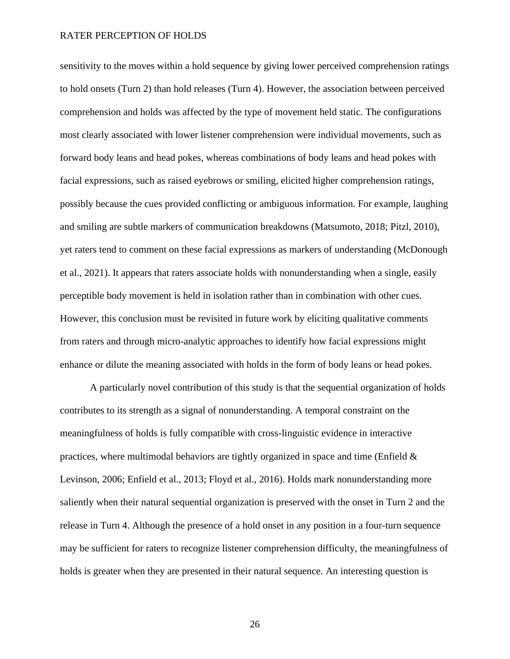sensitivity to the moves within a hold sequence by giving lower perceived comprehension ratings to hold onsets (Turn 2) than hold releases (Turn 4). However, the association between perceived comprehension and holds was affected by the type of movement held static. The configurations most clearly associated with lower listener comprehension were individual movements, such as forward body leans and head pokes, whereas combinations of body leans and head pokes with facial expressions, such as raised eyebrows or smiling, elicited higher comprehension ratings, possibly because the cues provided conflicting or ambiguous information. For example, laughing and smiling are subtle markers of communication breakdowns (Matsumoto, 2018; Pitzl, 2010), yet raters tend to comment on these facial expressions as markers of understanding (McDonough et al., 2021). It appears that raters associate holds with nonunderstanding when a single, easily perceptible body movement is held in isolation rather than in combination with other cues. However, this conclusion must be revisited in future work by eliciting qualitative comments from raters and through micro-analytic approaches to identify how facial expressions might enhance or dilute the meaning associated with holds in the form of body leans or head pokes.

A particularly novel contribution of this study is that the sequential organization of holds contributes to its strength as a signal of nonunderstanding. A temporal constraint on the meaningfulness of holds is fully compatible with cross-linguistic evidence in interactive practices, where multimodal behaviors are tightly organized in space and time (Enfield  $\&$ Levinson, 2006; Enfield et al., 2013; Floyd et al., 2016). Holds mark nonunderstanding more saliently when their natural sequential organization is preserved with the onset in Turn 2 and the release in Turn 4. Although the presence of a hold onset in any position in a four-turn sequence may be sufficient for raters to recognize listener comprehension difficulty, the meaningfulness of holds is greater when they are presented in their natural sequence. An interesting question is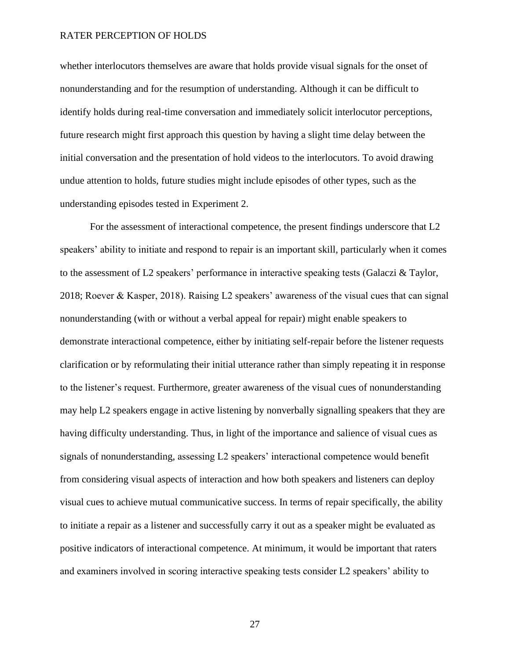whether interlocutors themselves are aware that holds provide visual signals for the onset of nonunderstanding and for the resumption of understanding. Although it can be difficult to identify holds during real-time conversation and immediately solicit interlocutor perceptions, future research might first approach this question by having a slight time delay between the initial conversation and the presentation of hold videos to the interlocutors. To avoid drawing undue attention to holds, future studies might include episodes of other types, such as the understanding episodes tested in Experiment 2.

For the assessment of interactional competence, the present findings underscore that L2 speakers' ability to initiate and respond to repair is an important skill, particularly when it comes to the assessment of L2 speakers' performance in interactive speaking tests (Galaczi & Taylor, 2018; Roever & Kasper, 2018). Raising L2 speakers' awareness of the visual cues that can signal nonunderstanding (with or without a verbal appeal for repair) might enable speakers to demonstrate interactional competence, either by initiating self-repair before the listener requests clarification or by reformulating their initial utterance rather than simply repeating it in response to the listener's request. Furthermore, greater awareness of the visual cues of nonunderstanding may help L2 speakers engage in active listening by nonverbally signalling speakers that they are having difficulty understanding. Thus, in light of the importance and salience of visual cues as signals of nonunderstanding, assessing L2 speakers' interactional competence would benefit from considering visual aspects of interaction and how both speakers and listeners can deploy visual cues to achieve mutual communicative success. In terms of repair specifically, the ability to initiate a repair as a listener and successfully carry it out as a speaker might be evaluated as positive indicators of interactional competence. At minimum, it would be important that raters and examiners involved in scoring interactive speaking tests consider L2 speakers' ability to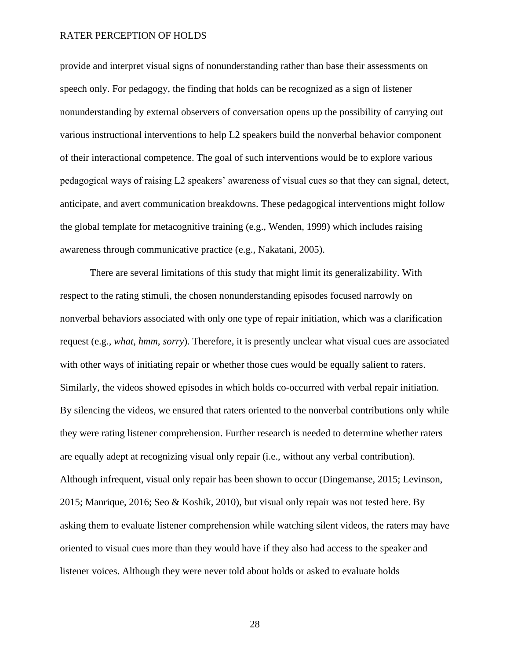provide and interpret visual signs of nonunderstanding rather than base their assessments on speech only. For pedagogy, the finding that holds can be recognized as a sign of listener nonunderstanding by external observers of conversation opens up the possibility of carrying out various instructional interventions to help L2 speakers build the nonverbal behavior component of their interactional competence. The goal of such interventions would be to explore various pedagogical ways of raising L2 speakers' awareness of visual cues so that they can signal, detect, anticipate, and avert communication breakdowns. These pedagogical interventions might follow the global template for metacognitive training (e.g., Wenden, 1999) which includes raising awareness through communicative practice (e.g., Nakatani, 2005).

There are several limitations of this study that might limit its generalizability. With respect to the rating stimuli, the chosen nonunderstanding episodes focused narrowly on nonverbal behaviors associated with only one type of repair initiation, which was a clarification request (e.g., *what*, *hmm*, *sorry*). Therefore, it is presently unclear what visual cues are associated with other ways of initiating repair or whether those cues would be equally salient to raters. Similarly, the videos showed episodes in which holds co-occurred with verbal repair initiation. By silencing the videos, we ensured that raters oriented to the nonverbal contributions only while they were rating listener comprehension. Further research is needed to determine whether raters are equally adept at recognizing visual only repair (i.e., without any verbal contribution). Although infrequent, visual only repair has been shown to occur (Dingemanse, 2015; Levinson, 2015; Manrique, 2016; Seo & Koshik, 2010), but visual only repair was not tested here. By asking them to evaluate listener comprehension while watching silent videos, the raters may have oriented to visual cues more than they would have if they also had access to the speaker and listener voices. Although they were never told about holds or asked to evaluate holds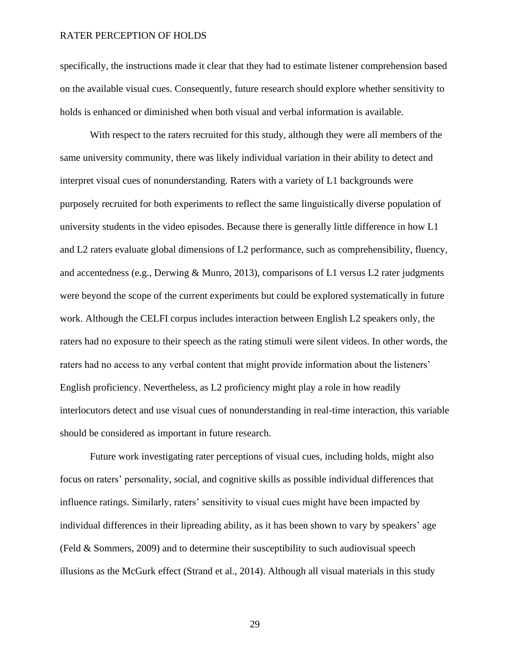specifically, the instructions made it clear that they had to estimate listener comprehension based on the available visual cues. Consequently, future research should explore whether sensitivity to holds is enhanced or diminished when both visual and verbal information is available.

With respect to the raters recruited for this study, although they were all members of the same university community, there was likely individual variation in their ability to detect and interpret visual cues of nonunderstanding. Raters with a variety of L1 backgrounds were purposely recruited for both experiments to reflect the same linguistically diverse population of university students in the video episodes. Because there is generally little difference in how L1 and L2 raters evaluate global dimensions of L2 performance, such as comprehensibility, fluency, and accentedness (e.g., Derwing & Munro, 2013), comparisons of L1 versus L2 rater judgments were beyond the scope of the current experiments but could be explored systematically in future work. Although the CELFI corpus includes interaction between English L2 speakers only, the raters had no exposure to their speech as the rating stimuli were silent videos. In other words, the raters had no access to any verbal content that might provide information about the listeners' English proficiency. Nevertheless, as L2 proficiency might play a role in how readily interlocutors detect and use visual cues of nonunderstanding in real-time interaction, this variable should be considered as important in future research.

Future work investigating rater perceptions of visual cues, including holds, might also focus on raters' personality, social, and cognitive skills as possible individual differences that influence ratings. Similarly, raters' sensitivity to visual cues might have been impacted by individual differences in their lipreading ability, as it has been shown to vary by speakers' age (Feld & Sommers, 2009) and to determine their susceptibility to such audiovisual speech illusions as the McGurk effect (Strand et al., 2014). Although all visual materials in this study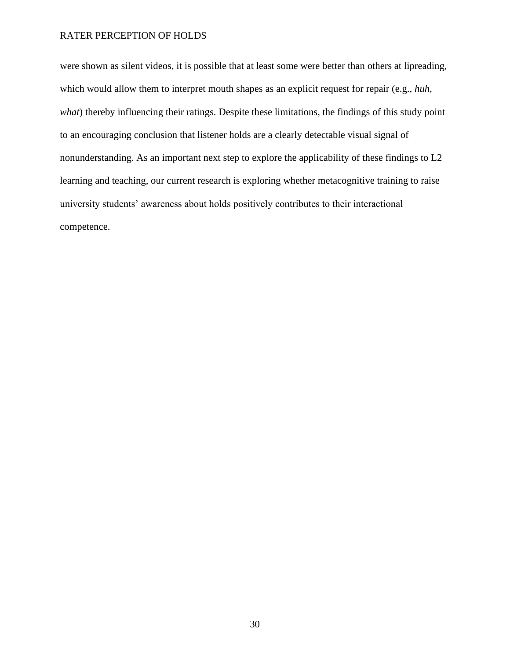were shown as silent videos, it is possible that at least some were better than others at lipreading, which would allow them to interpret mouth shapes as an explicit request for repair (e.g., *huh*, *what*) thereby influencing their ratings. Despite these limitations, the findings of this study point to an encouraging conclusion that listener holds are a clearly detectable visual signal of nonunderstanding. As an important next step to explore the applicability of these findings to L2 learning and teaching, our current research is exploring whether metacognitive training to raise university students' awareness about holds positively contributes to their interactional competence.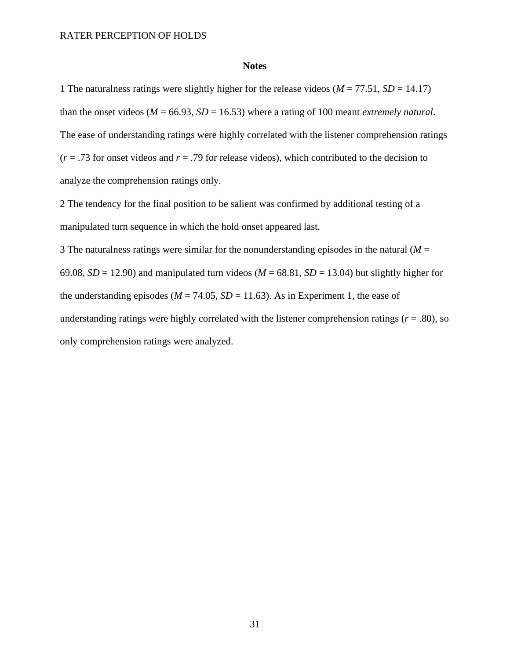# **Notes**

1 The naturalness ratings were slightly higher for the release videos ( $M = 77.51$ ,  $SD = 14.17$ ) than the onset videos ( $M = 66.93$ ,  $SD = 16.53$ ) where a rating of 100 meant *extremely natural*. The ease of understanding ratings were highly correlated with the listener comprehension ratings  $(r = .73$  for onset videos and  $r = .79$  for release videos), which contributed to the decision to analyze the comprehension ratings only.

2 The tendency for the final position to be salient was confirmed by additional testing of a manipulated turn sequence in which the hold onset appeared last.

3 The naturalness ratings were similar for the nonunderstanding episodes in the natural  $(M =$ 69.08,  $SD = 12.90$ ) and manipulated turn videos ( $M = 68.81$ ,  $SD = 13.04$ ) but slightly higher for the understanding episodes ( $M = 74.05$ ,  $SD = 11.63$ ). As in Experiment 1, the ease of understanding ratings were highly correlated with the listener comprehension ratings ( $r = .80$ ), so only comprehension ratings were analyzed.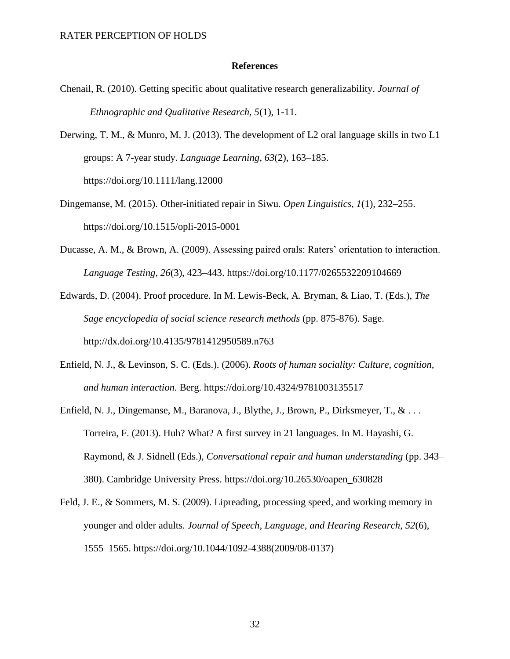#### **References**

- Chenail, R. (2010). Getting specific about qualitative research generalizability. *Journal of Ethnographic and Qualitative Research, 5*(1), 1-11.
- Derwing, T. M., & Munro, M. J. (2013). The development of L2 oral language skills in two L1 groups: A 7-year study. *Language Learning*, *63*(2), 163–185. https://doi.org/10.1111/lang.12000
- Dingemanse, M. (2015). Other-initiated repair in Siwu. *Open Linguistics, 1*(1), 232–255. https://doi.org/10.1515/opli-2015-0001
- Ducasse, A. M., & Brown, A. (2009). Assessing paired orals: Raters' orientation to interaction. *Language Testing, 26*(3), 423–443. https://doi.org/10.1177/0265532209104669

Edwards, D. (2004). Proof procedure. In M. Lewis-Beck, A. Bryman, & Liao, T. (Eds.), *The Sage encyclopedia of social science research methods* (pp. 875-876). Sage. http://dx.doi.org/10.4135/9781412950589.n763

- Enfield, N. J., & Levinson, S. C. (Eds.). (2006). *Roots of human sociality: Culture, cognition, and human interaction.* Berg. https://doi.org/10.4324/9781003135517
- Enfield, N. J., Dingemanse, M., Baranova, J., Blythe, J., Brown, P., Dirksmeyer, T., & . . . Torreira, F. (2013). Huh? What? A first survey in 21 languages. In M. Hayashi, G. Raymond, & J. Sidnell (Eds.), *Conversational repair and human understanding* (pp. 343– 380). Cambridge University Press. https://doi.org/10.26530/oapen\_630828
- Feld, J. E., & Sommers, M. S. (2009). Lipreading, processing speed, and working memory in younger and older adults. *Journal of Speech, Language, and Hearing Research*, *52*(6), 1555–1565. https://doi.org/10.1044/1092-4388(2009/08-0137)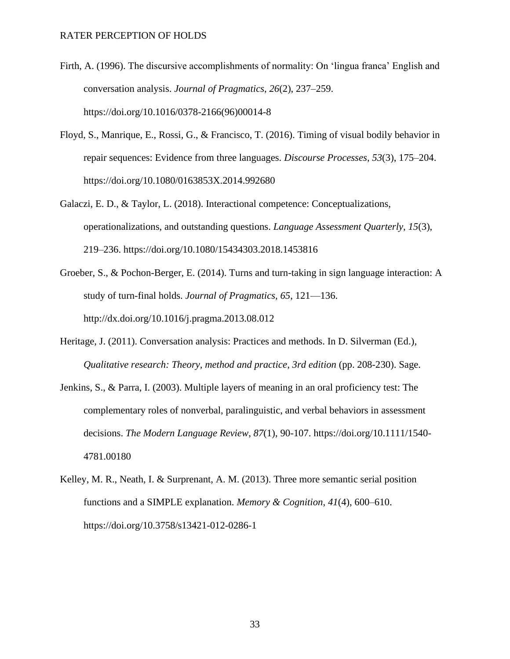- Firth, A. (1996). The discursive accomplishments of normality: On 'lingua franca' English and conversation analysis. *Journal of Pragmatics*, *26*(2), 237–259. https://doi.org/10.1016/0378-2166(96)00014-8
- Floyd, S., Manrique, E., Rossi, G., & Francisco, T. (2016). Timing of visual bodily behavior in repair sequences: Evidence from three languages. *Discourse Processes*, *53*(3), 175–204. https://doi.org/10.1080/0163853X.2014.992680
- Galaczi, E. D., & Taylor, L. (2018). Interactional competence: Conceptualizations, operationalizations, and outstanding questions. *Language Assessment Quarterly*, *15*(3), 219–236. https://doi.org/10.1080/15434303.2018.1453816
- Groeber, S., & Pochon-Berger, E. (2014). Turns and turn-taking in sign language interaction: A study of turn-final holds. *Journal of Pragmatics, 65*, 121—136. http://dx.doi.org/10.1016/j.pragma.2013.08.012
- Heritage, J. (2011). Conversation analysis: Practices and methods. In D. Silverman (Ed.), *Qualitative research: Theory, method and practice, 3rd edition* (pp. 208-230). Sage.
- Jenkins, S., & Parra, I. (2003). Multiple layers of meaning in an oral proficiency test: The complementary roles of nonverbal, paralinguistic, and verbal behaviors in assessment decisions. *The Modern Language Review*, *87*(1), 90-107. https://doi.org/10.1111/1540- 4781.00180
- Kelley, M. R., Neath, I. & Surprenant, A. M. (2013). Three more semantic serial position functions and a SIMPLE explanation. *Memory & Cognition*, *41*(4), 600–610. https://doi.org/10.3758/s13421-012-0286-1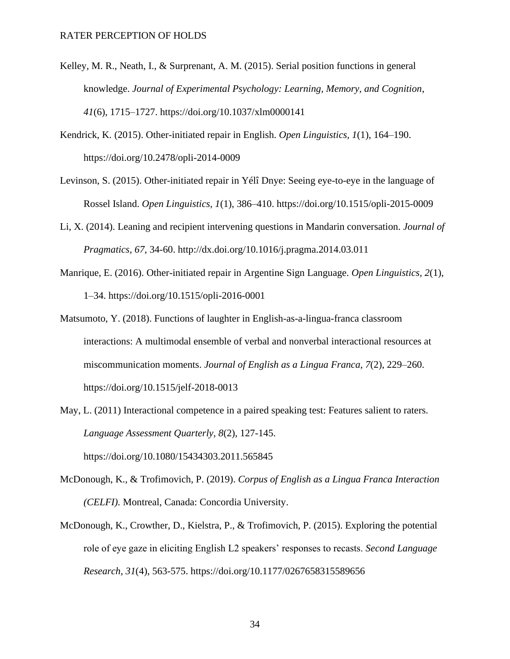- Kelley, M. R., Neath, I., & Surprenant, A. M. (2015). Serial position functions in general knowledge. *Journal of Experimental Psychology: Learning, Memory, and Cognition*, *41*(6), 1715–1727. https://doi.org/10.1037/xlm0000141
- Kendrick, K. (2015). Other-initiated repair in English. *Open Linguistics, 1*(1), 164–190. https://doi.org/10.2478/opli-2014-0009
- Levinson, S. (2015). Other-initiated repair in Yélî Dnye: Seeing eye-to-eye in the language of Rossel Island. *Open Linguistics, 1*(1), 386–410. https://doi.org/10.1515/opli-2015-0009
- Li, X. (2014). Leaning and recipient intervening questions in Mandarin conversation. *Journal of Pragmatics, 67*, 34-60. http://dx.doi.org/10.1016/j.pragma.2014.03.011
- Manrique, E. (2016). Other-initiated repair in Argentine Sign Language. *Open Linguistics, 2*(1), 1–34. https://doi.org/10.1515/opli-2016-0001
- Matsumoto, Y. (2018). Functions of laughter in English-as-a-lingua-franca classroom interactions: A multimodal ensemble of verbal and nonverbal interactional resources at miscommunication moments. *Journal of English as a Lingua Franca*, *7*(2), 229–260. https://doi.org/10.1515/jelf-2018-0013
- May, L. (2011) Interactional competence in a paired speaking test: Features salient to raters. *Language Assessment Quarterly, 8*(2), 127-145. https://doi.org/10.1080/15434303.2011.565845
- McDonough, K., & Trofimovich, P. (2019). *Corpus of English as a Lingua Franca Interaction (CELFI).* Montreal, Canada: Concordia University.
- McDonough, K., Crowther, D., Kielstra, P., & Trofimovich, P. (2015). Exploring the potential role of eye gaze in eliciting English L2 speakers' responses to recasts. *Second Language Research, 31*(4), 563-575. https://doi.org/10.1177/0267658315589656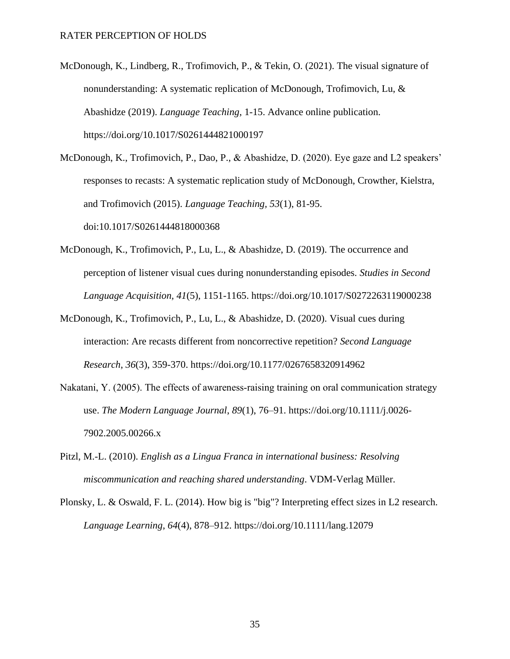- McDonough, K., Lindberg, R., Trofimovich, P., & Tekin, O. (2021). The visual signature of nonunderstanding: A systematic replication of McDonough, Trofimovich, Lu, & Abashidze (2019). *Language Teaching*, 1-15. Advance online publication. https://doi.org/10.1017/S0261444821000197
- McDonough, K., Trofimovich, P., Dao, P., & Abashidze, D. (2020). Eye gaze and L2 speakers' responses to recasts: A systematic replication study of McDonough, Crowther, Kielstra, and Trofimovich (2015). *Language Teaching, 53*(1), 81-95. doi:10.1017/S0261444818000368
- McDonough, K., Trofimovich, P., Lu, L., & Abashidze, D. (2019). The occurrence and perception of listener visual cues during nonunderstanding episodes. *Studies in Second Language Acquisition, 41*(5), 1151-1165.<https://doi.org/10.1017/S0272263119000238>
- McDonough, K., Trofimovich, P., Lu, L., & Abashidze, D. (2020). Visual cues during interaction: Are recasts different from noncorrective repetition? *Second Language Research*, *36*(3), 359-370. https://doi.org/10.1177/0267658320914962
- Nakatani, Y. (2005). The effects of awareness-raising training on oral communication strategy use. *The Modern Language Journal*, *89*(1), 76–91. https://doi.org/10.1111/j.0026- 7902.2005.00266.x
- Pitzl, M.-L. (2010). *English as a Lingua Franca in international business: Resolving miscommunication and reaching shared understanding*. VDM-Verlag Müller.
- Plonsky, L. & Oswald, F. L. (2014). How big is "big"? Interpreting effect sizes in L2 research. *Language Learning*, *64*(4), 878–912. https://doi.org/10.1111/lang.12079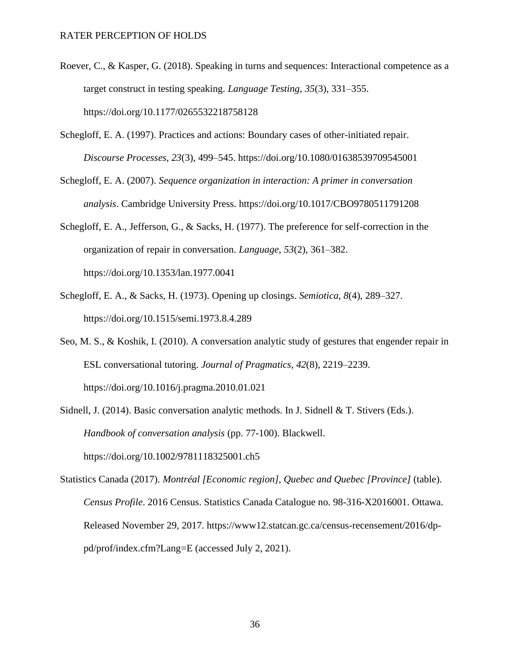- Roever, C., & Kasper, G. (2018). Speaking in turns and sequences: Interactional competence as a target construct in testing speaking. *Language Testing*, *35*(3), 331–355. https://doi.org/10.1177/0265532218758128
- Schegloff, E. A. (1997). Practices and actions: Boundary cases of other-initiated repair. *Discourse Processes*, *23*(3), 499–545. https://doi.org/10.1080/01638539709545001
- Schegloff, E. A. (2007). *Sequence organization in interaction: A primer in conversation analysis*. Cambridge University Press. https://doi.org/10.1017/CBO9780511791208
- Schegloff, E. A., Jefferson, G., & Sacks, H. (1977). The preference for self-correction in the organization of repair in conversation. *Language*, *53*(2), 361–382. https://doi.org/10.1353/lan.1977.0041
- Schegloff, E. A., & Sacks, H. (1973). Opening up closings. *Semiotica, 8*(4), 289–327. https://doi.org/10.1515/semi.1973.8.4.289
- Seo, M. S., & Koshik, I. (2010). A conversation analytic study of gestures that engender repair in ESL conversational tutoring. *Journal of Pragmatics*, *42*(8), 2219–2239. https://doi.org/10.1016/j.pragma.2010.01.021
- Sidnell, J. (2014). Basic conversation analytic methods. In J. Sidnell & T. Stivers (Eds.). *Handbook of conversation analysis* (pp. 77-100). Blackwell. https://doi.org/10.1002/9781118325001.ch5
- Statistics Canada (2017). *Montréal [Economic region], Quebec and Quebec [Province]* (table). *Census Profile*. 2016 Census. Statistics Canada Catalogue no. 98-316-X2016001. Ottawa. Released November 29, 2017. https://www12.statcan.gc.ca/census-recensement/2016/dppd/prof/index.cfm?Lang=E (accessed July 2, 2021).